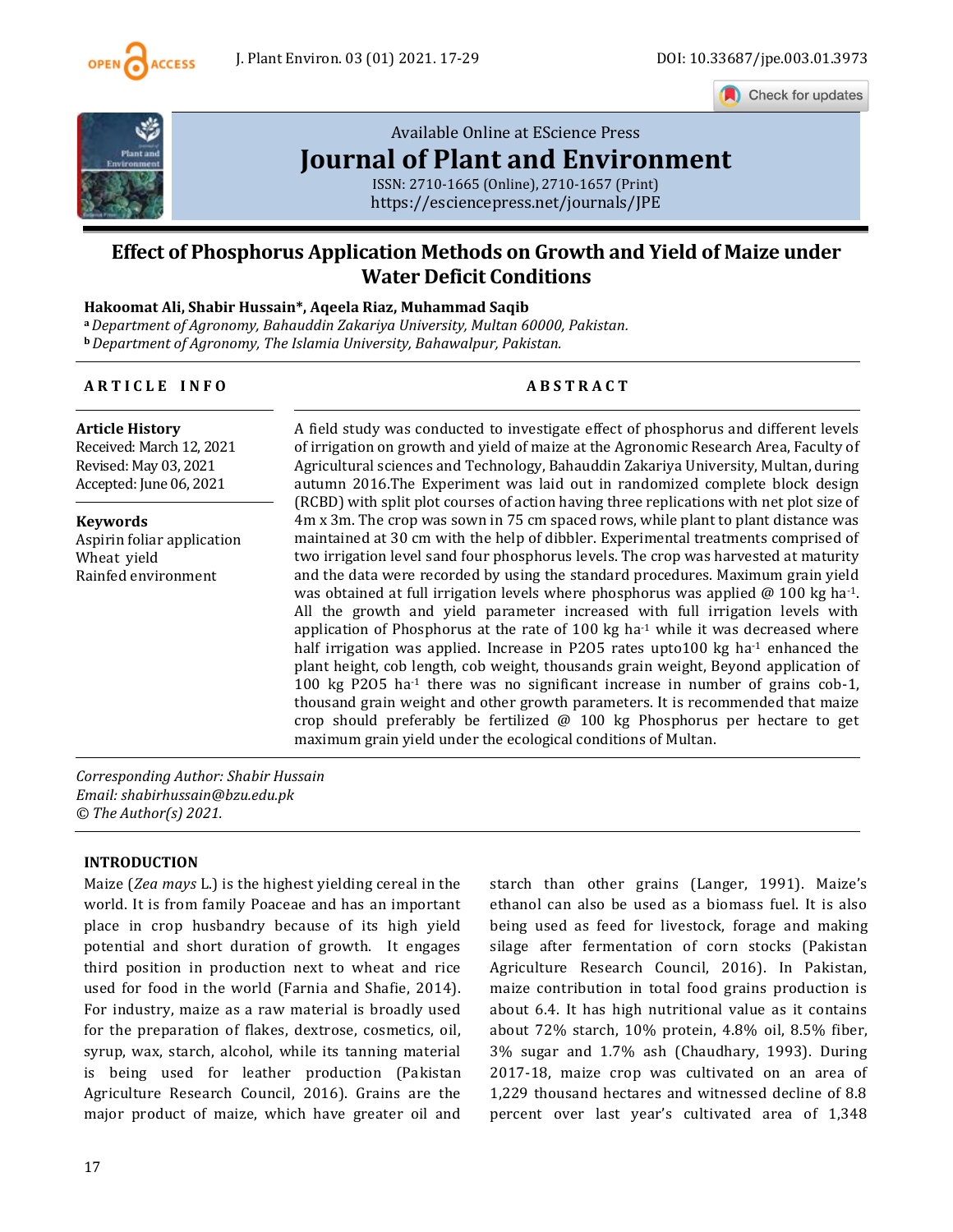

Check for updates



# [Available Online at EScience Press](https://esciencepress.net/journals/JPE) **[Journal of Plant and Environment](https://esciencepress.net/journals/JPE)**

ISSN: 2710-1665 (Online), 2710-1657 (Print) <https://esciencepress.net/journals/JPE>

# **Effect of Phosphorus Application Methods on Growth and Yield of Maize under Water Deficit Conditions**

# **Hakoomat Ali, Shabir Hussain\*, Aqeela Riaz, Muhammad Saqib**

**<sup>a</sup>***Department of Agronomy, Bahauddin Zakariya University, Multan 60000, Pakistan.* **<sup>b</sup>***Department of Agronomy, The Islamia University, Bahawalpur, Pakistan.*

### **A R T I C L E I N F O A B S T R A C T**

**Article History** Received: March 12, 2021 Revised: May 03, 2021 Accepted: June 06, 2021

**Keywords** Aspirin foliar application Wheat yield Rainfed environment

A field study was conducted to investigate effect of phosphorus and different levels of irrigation on growth and yield of maize at the Agronomic Research Area, Faculty of Agricultural sciences and Technology, Bahauddin Zakariya University, Multan, during autumn 2016.The Experiment was laid out in randomized complete block design (RCBD) with split plot courses of action having three replications with net plot size of 4m x 3m. The crop was sown in 75 cm spaced rows, while plant to plant distance was maintained at 30 cm with the help of dibbler. Experimental treatments comprised of two irrigation level sand four phosphorus levels. The crop was harvested at maturity and the data were recorded by using the standard procedures. Maximum grain yield was obtained at full irrigation levels where phosphorus was applied  $\omega$  100 kg ha<sup>-1</sup>. All the growth and yield parameter increased with full irrigation levels with application of Phosphorus at the rate of  $100 \text{ kg}$  ha<sup>-1</sup> while it was decreased where half irrigation was applied. Increase in P2O5 rates upto100 kg ha $<sup>1</sup>$  enhanced the</sup> plant height, cob length, cob weight, thousands grain weight, Beyond application of 100 kg P2O5 ha<sup>-1</sup> there was no significant increase in number of grains cob-1, thousand grain weight and other growth parameters. It is recommended that maize crop should preferably be fertilized @ 100 kg Phosphorus per hectare to get maximum grain yield under the ecological conditions of Multan.

*Corresponding Author: Shabir Hussain Email: shabirhussain@bzu.edu.pk © The Author(s) 2021.*

#### **INTRODUCTION**

Maize (*Zea mays* L.) is the highest yielding cereal in the world. It is from family Poaceae and has an important place in crop husbandry because of its high yield potential and short duration of growth. It engages third position in production next to wheat and rice used for food in the world (Farnia and Shafie, 2014). For industry, maize as a raw material is broadly used for the preparation of flakes, dextrose, cosmetics, oil, syrup, wax, starch, alcohol, while its tanning material is being used for leather production (Pakistan Agriculture Research Council, 2016). Grains are the major product of maize, which have greater oil and starch than other grains (Langer, 1991). Maize's ethanol can also be used as a biomass fuel. It is also being used as feed for livestock, forage and making silage after fermentation of corn stocks (Pakistan Agriculture Research Council, 2016). In Pakistan, maize contribution in total food grains production is about 6.4. It has high nutritional value as it contains about 72% starch, 10% protein, 4.8% oil, 8.5% fiber, 3% sugar and 1.7% ash (Chaudhary, 1993). During 2017-18, maize crop was cultivated on an area of 1,229 thousand hectares and witnessed decline of 8.8 percent over last year's cultivated area of 1,348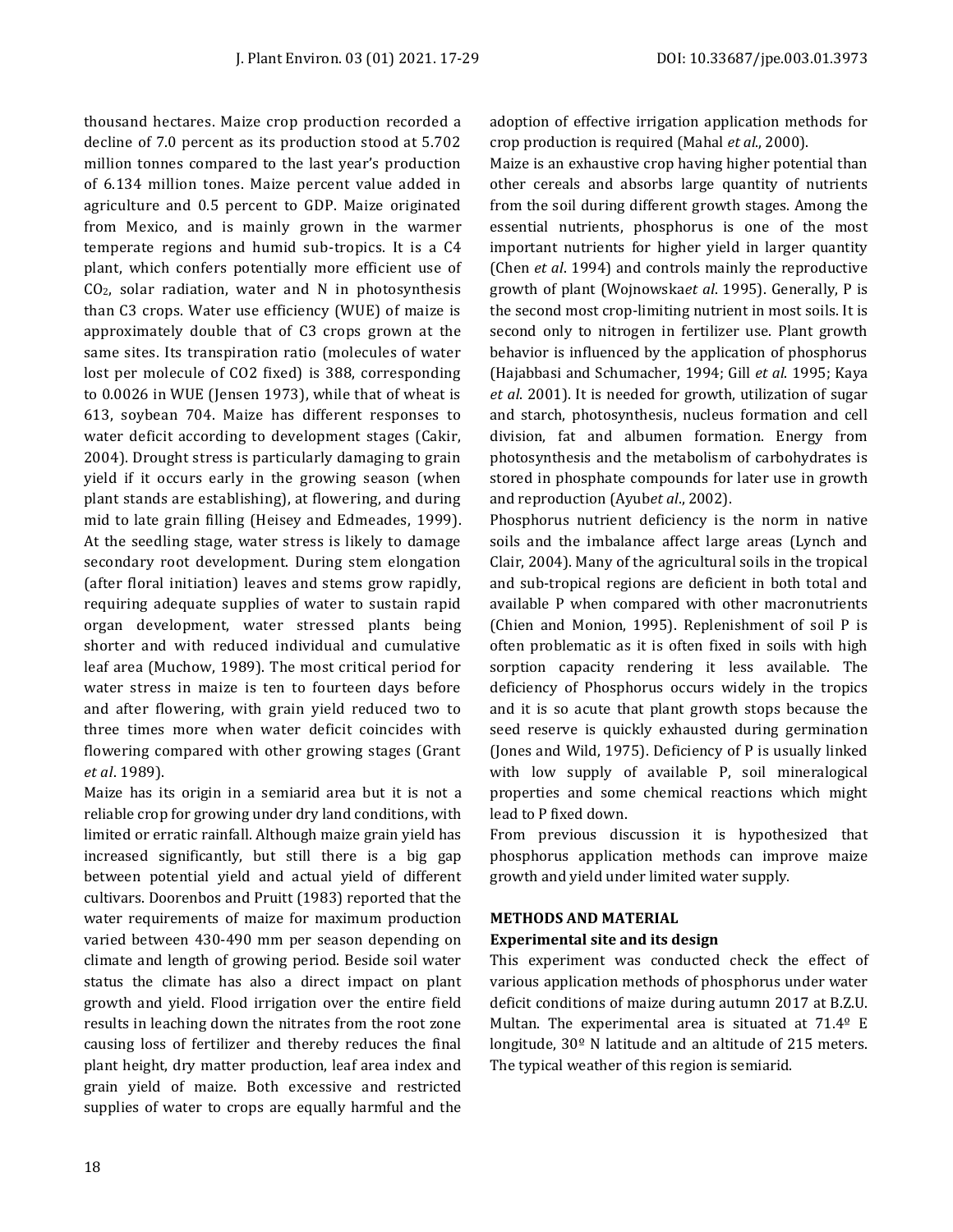thousand hectares. Maize crop production recorded a decline of 7.0 percent as its production stood at 5.702 million tonnes compared to the last year's production of 6.134 million tones. Maize percent value added in agriculture and 0.5 percent to GDP. Maize originated from Mexico, and is mainly grown in the warmer temperate regions and humid sub-tropics. It is a C4 plant, which confers potentially more efficient use of CO2, solar radiation, water and N in photosynthesis than C3 crops. Water use efficiency (WUE) of maize is approximately double that of C3 crops grown at the same sites. Its transpiration ratio (molecules of water lost per molecule of CO2 fixed) is 388, corresponding to 0.0026 in WUE (Jensen 1973), while that of wheat is 613, soybean 704. Maize has different responses to water deficit according to development stages (Cakir, 2004). Drought stress is particularly damaging to grain yield if it occurs early in the growing season (when plant stands are establishing), at flowering, and during mid to late grain filling (Heisey and Edmeades, 1999). At the seedling stage, water stress is likely to damage secondary root development. During stem elongation (after floral initiation) leaves and stems grow rapidly, requiring adequate supplies of water to sustain rapid organ development, water stressed plants being shorter and with reduced individual and cumulative leaf area (Muchow, 1989). The most critical period for water stress in maize is ten to fourteen days before and after flowering, with grain yield reduced two to three times more when water deficit coincides with flowering compared with other growing stages (Grant *et al*. 1989).

Maize has its origin in a semiarid area but it is not a reliable crop for growing under dry land conditions, with limited or erratic rainfall. Although maize grain yield has increased significantly, but still there is a big gap between potential yield and actual yield of different cultivars. Doorenbos and Pruitt (1983) reported that the water requirements of maize for maximum production varied between 430-490 mm per season depending on climate and length of growing period. Beside soil water status the climate has also a direct impact on plant growth and yield. Flood irrigation over the entire field results in leaching down the nitrates from the root zone causing loss of fertilizer and thereby reduces the final plant height, dry matter production, leaf area index and grain yield of maize. Both excessive and restricted supplies of water to crops are equally harmful and the adoption of effective irrigation application methods for crop production is required (Mahal *et al*., 2000).

Maize is an exhaustive crop having higher potential than other cereals and absorbs large quantity of nutrients from the soil during different growth stages. Among the essential nutrients, phosphorus is one of the most important nutrients for higher yield in larger quantity (Chen *et al*. 1994) and controls mainly the reproductive growth of plant (Wojnowska*et al*. 1995). Generally, P is the second most crop-limiting nutrient in most soils. It is second only to nitrogen in fertilizer use. Plant growth behavior is influenced by the application of phosphorus (Hajabbasi and Schumacher, 1994; Gill *et al*. 1995; Kaya *et al*. 2001). It is needed for growth, utilization of sugar and starch, photosynthesis, nucleus formation and cell division, fat and albumen formation. Energy from photosynthesis and the metabolism of carbohydrates is stored in phosphate compounds for later use in growth and reproduction (Ayub*et al*., 2002).

Phosphorus nutrient deficiency is the norm in native soils and the imbalance affect large areas (Lynch and Clair, 2004). Many of the agricultural soils in the tropical and sub-tropical regions are deficient in both total and available P when compared with other macronutrients (Chien and Monion, 1995). Replenishment of soil P is often problematic as it is often fixed in soils with high sorption capacity rendering it less available. The deficiency of Phosphorus occurs widely in the tropics and it is so acute that plant growth stops because the seed reserve is quickly exhausted during germination (Jones and Wild, 1975). Deficiency of P is usually linked with low supply of available P, soil mineralogical properties and some chemical reactions which might lead to P fixed down.

From previous discussion it is hypothesized that phosphorus application methods can improve maize growth and yield under limited water supply.

# **METHODS AND MATERIAL**

# **Experimental site and its design**

This experiment was conducted check the effect of various application methods of phosphorus under water deficit conditions of maize during autumn 2017 at B.Z.U. Multan. The experimental area is situated at 71.4º E longitude, 30º N latitude and an altitude of 215 meters. The typical weather of this region is semiarid.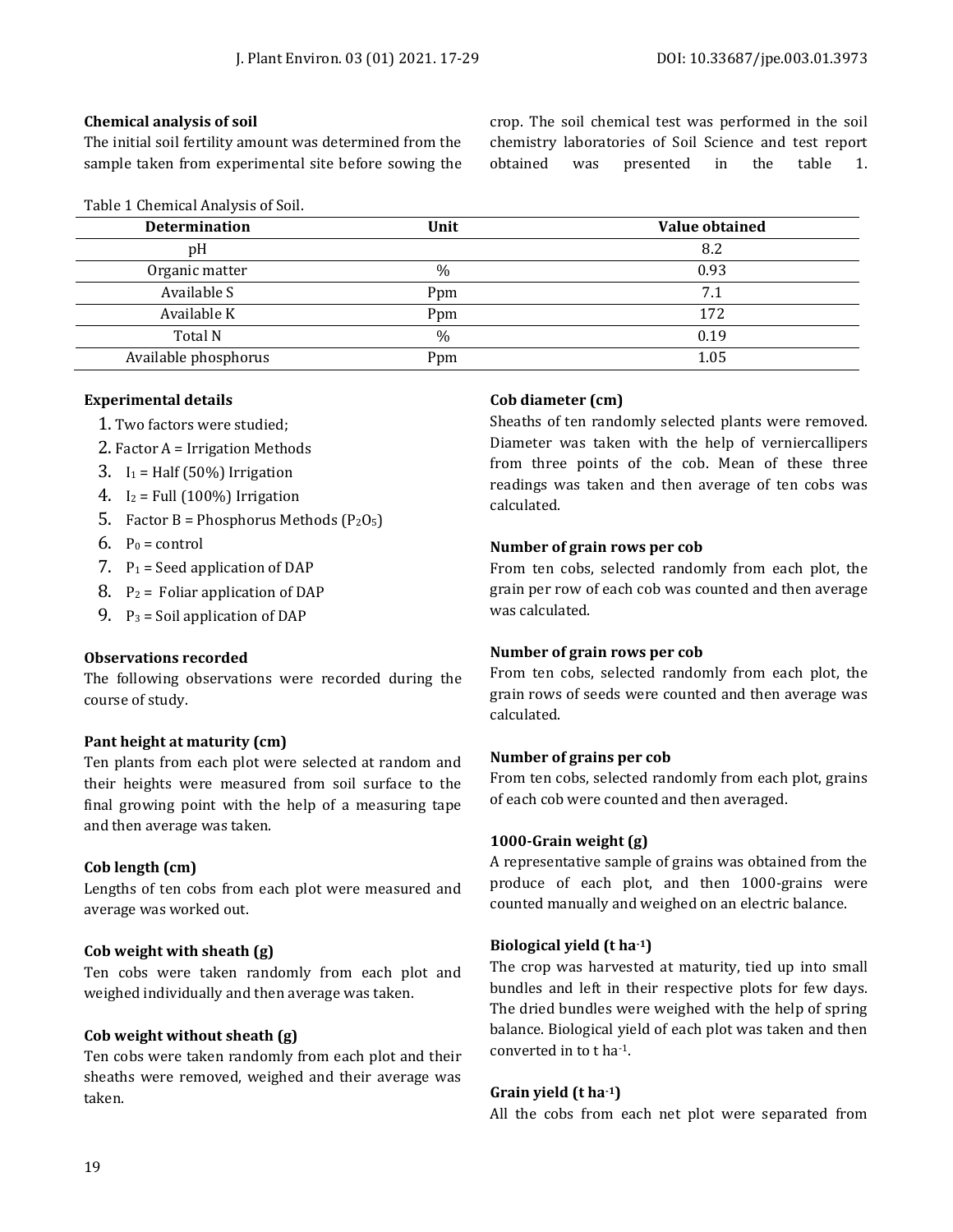#### **Chemical analysis of soil**

The initial soil fertility amount was determined from the sample taken from experimental site before sowing the

|  | Table 1 Chemical Analysis of Soil. |  |  |
|--|------------------------------------|--|--|
|--|------------------------------------|--|--|

crop. The soil chemical test was performed in the soil chemistry laboratories of Soil Science and test report obtained was presented in the table 1.

| <b>Determination</b> | Unit | Value obtained |
|----------------------|------|----------------|
| pH                   |      | 8.2            |
| Organic matter       | $\%$ | 0.93           |
| Available S          | Ppm  | 7.1            |
| Available K          | Ppm  | 172            |
| Total N              | %    | 0.19           |
| Available phosphorus | Ppm  | 1.05           |
|                      |      |                |

### **Experimental details**

- 1. Two factors were studied;
- 2. Factor A = Irrigation Methods
- 3.  $I_1$  = Half (50%) Irrigation
- 4.  $I_2$  = Full (100%) Irrigation
- 5. Factor B = Phosphorus Methods  $(P_2O_5)$
- $6.$  P<sub>0</sub> = control
- 7.  $P_1$  = Seed application of DAP
- 8.  $P_2$  = Foliar application of DAP
- 9.  $P_3$  = Soil application of DAP

#### **Observations recorded**

The following observations were recorded during the course of study.

#### **Pant height at maturity (cm)**

Ten plants from each plot were selected at random and their heights were measured from soil surface to the final growing point with the help of a measuring tape and then average was taken.

#### **Cob length (cm)**

Lengths of ten cobs from each plot were measured and average was worked out.

# **Cob weight with sheath (g)**

Ten cobs were taken randomly from each plot and weighed individually and then average was taken.

#### **Cob weight without sheath (g)**

Ten cobs were taken randomly from each plot and their sheaths were removed, weighed and their average was taken.

# **Cob diameter (cm)**

Sheaths of ten randomly selected plants were removed. Diameter was taken with the help of verniercallipers from three points of the cob. Mean of these three readings was taken and then average of ten cobs was calculated.

### **Number of grain rows per cob**

From ten cobs, selected randomly from each plot, the grain per row of each cob was counted and then average was calculated.

# **Number of grain rows per cob**

From ten cobs, selected randomly from each plot, the grain rows of seeds were counted and then average was calculated.

#### **Number of grains per cob**

From ten cobs, selected randomly from each plot, grains of each cob were counted and then averaged.

#### **1000-Grain weight (g)**

A representative sample of grains was obtained from the produce of each plot, and then 1000-grains were counted manually and weighed on an electric balance.

# **Biological yield (t ha-1)**

The crop was harvested at maturity, tied up into small bundles and left in their respective plots for few days. The dried bundles were weighed with the help of spring balance. Biological yield of each plot was taken and then converted in to t ha-1.

#### **Grain yield (t ha-1)**

All the cobs from each net plot were separated from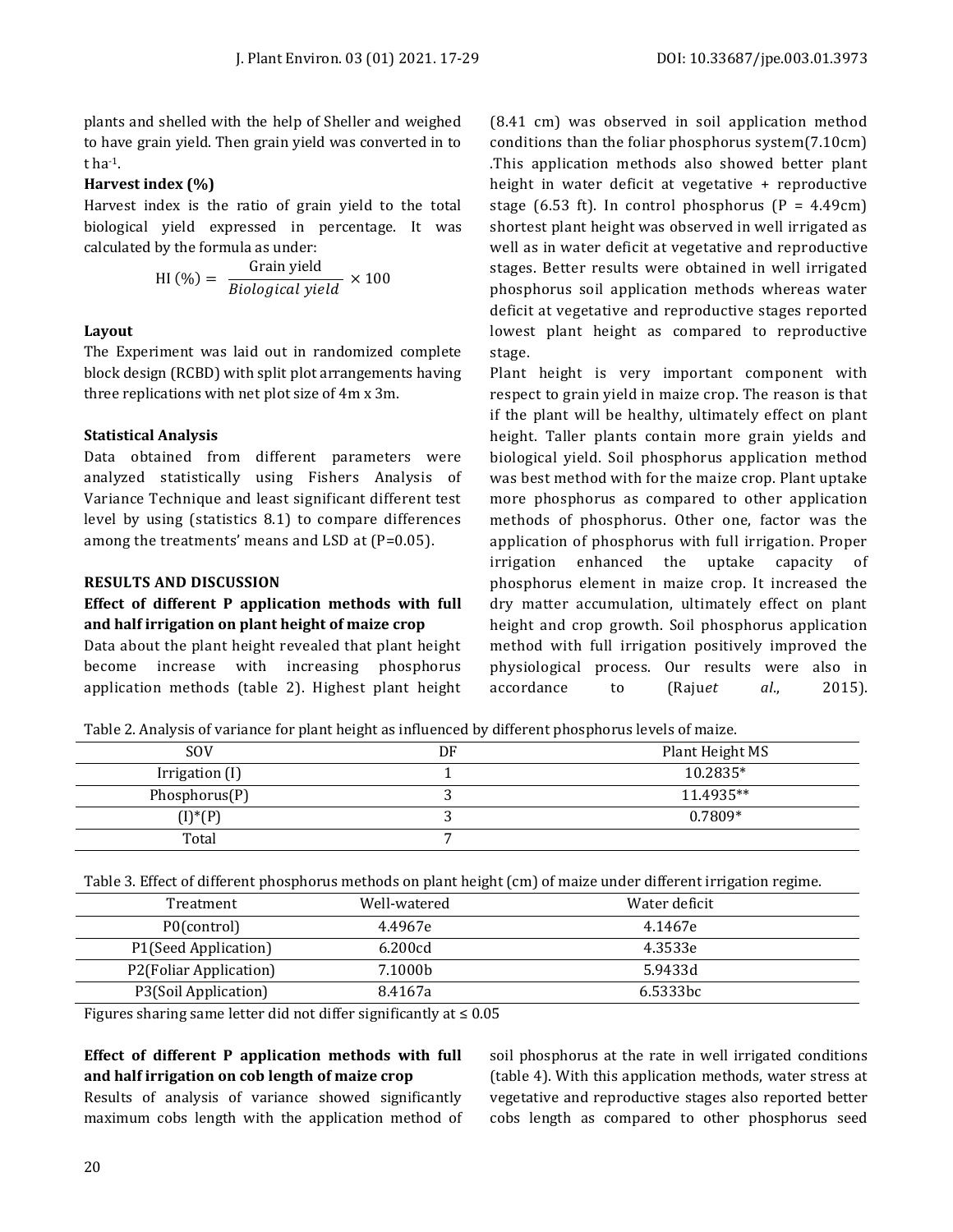plants and shelled with the help of Sheller and weighed to have grain yield. Then grain yield was converted in to t ha-1.

#### **Harvest index (%)**

Harvest index is the ratio of grain yield to the total biological yield expressed in percentage. It was calculated by the formula as under:

$$
HI (%) = \frac{Grain yield}{Biological yield} \times 100
$$

#### **Layout**

The Experiment was laid out in randomized complete block design (RCBD) with split plot arrangements having three replications with net plot size of 4m x 3m.

#### **Statistical Analysis**

Data obtained from different parameters were analyzed statistically using Fishers Analysis of Variance Technique and least significant different test level by using (statistics 8.1) to compare differences among the treatments' means and LSD at (P=0.05).

#### **RESULTS AND DISCUSSION**

# **Effect of different P application methods with full and half irrigation on plant height of maize crop**

Data about the plant height revealed that plant height become increase with increasing phosphorus application methods (table 2). Highest plant height (8.41 cm) was observed in soil application method conditions than the foliar phosphorus system(7.10cm) .This application methods also showed better plant height in water deficit at vegetative + reproductive stage (6.53 ft). In control phosphorus ( $P = 4.49cm$ ) shortest plant height was observed in well irrigated as well as in water deficit at vegetative and reproductive stages. Better results were obtained in well irrigated phosphorus soil application methods whereas water deficit at vegetative and reproductive stages reported lowest plant height as compared to reproductive stage.

Plant height is very important component with respect to grain yield in maize crop. The reason is that if the plant will be healthy, ultimately effect on plant height. Taller plants contain more grain yields and biological yield. Soil phosphorus application method was best method with for the maize crop. Plant uptake more phosphorus as compared to other application methods of phosphorus. Other one, factor was the application of phosphorus with full irrigation. Proper irrigation enhanced the uptake capacity of phosphorus element in maize crop. It increased the dry matter accumulation, ultimately effect on plant height and crop growth. Soil phosphorus application method with full irrigation positively improved the physiological process. Our results were also in accordance to (Raju*et al*., 2015).

Table 2. Analysis of variance for plant height as influenced by different phosphorus levels of maize.

| <b>SOV</b>     | DF | Plant Height MS |
|----------------|----|-----------------|
| Irrigation (I) |    | 10.2835*        |
| Phosphorus(P)  |    | 11.4935**       |
| $(I)^*(P)$     |    | $0.7809*$       |
| Total          |    |                 |

Table 3. Effect of different phosphorus methods on plant height (cm) of maize under different irrigation regime.

| Treatment              | Well-watered | Water deficit        |
|------------------------|--------------|----------------------|
| P0(control)            | 4.4967e      | 4.1467e              |
| P1(Seed Application)   | 6.200cd      | 4.3533e              |
| P2(Foliar Application) | 7.1000b      | 5.9433d              |
| P3(Soil Application)   | 8.4167a      | 6.5333 <sub>bc</sub> |

Figures sharing same letter did not differ significantly at  $\leq 0.05$ 

# **Effect of different P application methods with full and half irrigation on cob length of maize crop**

Results of analysis of variance showed significantly maximum cobs length with the application method of soil phosphorus at the rate in well irrigated conditions (table 4). With this application methods, water stress at vegetative and reproductive stages also reported better cobs length as compared to other phosphorus seed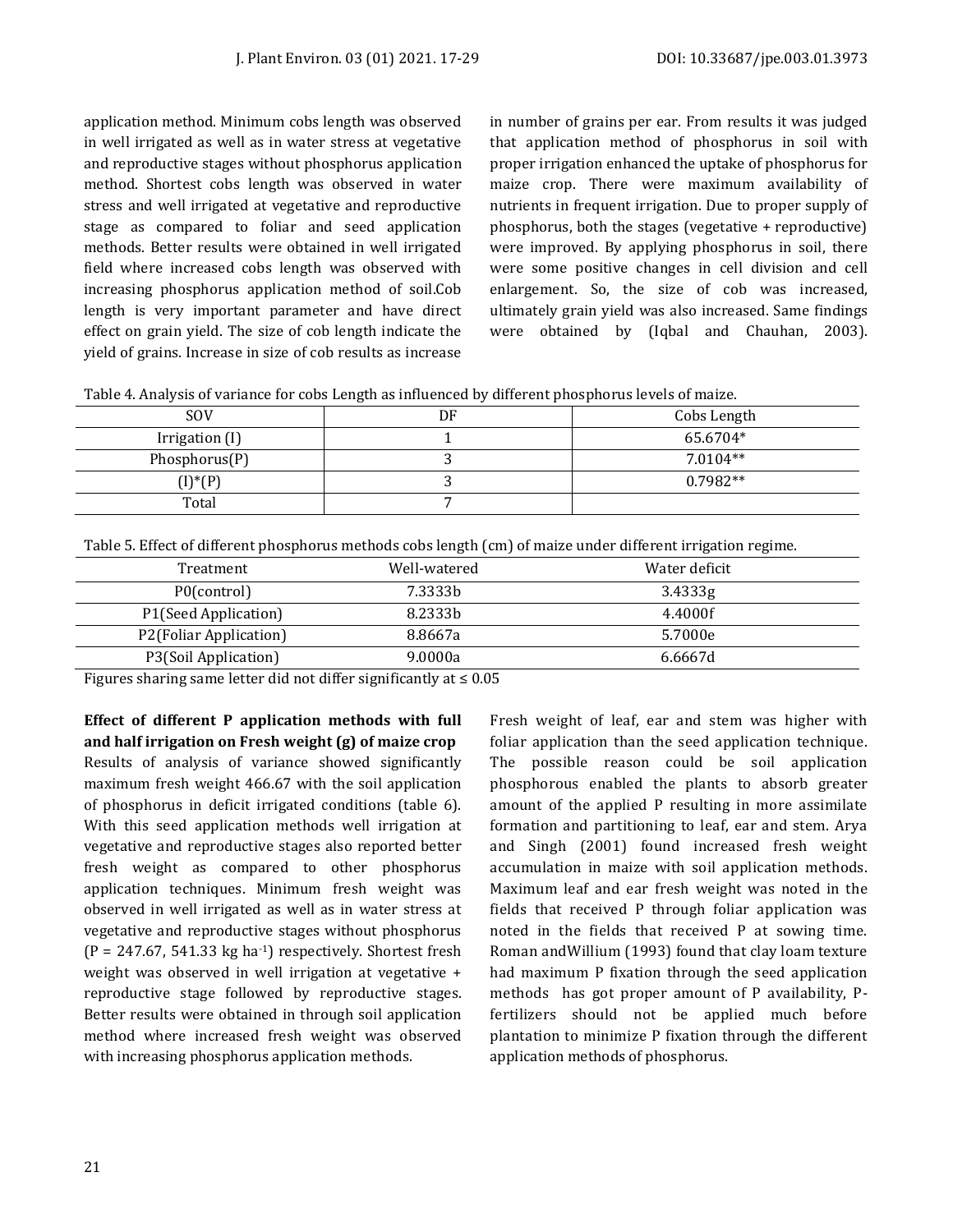application method. Minimum cobs length was observed in well irrigated as well as in water stress at vegetative and reproductive stages without phosphorus application method. Shortest cobs length was observed in water stress and well irrigated at vegetative and reproductive stage as compared to foliar and seed application methods. Better results were obtained in well irrigated field where increased cobs length was observed with increasing phosphorus application method of soil.Cob length is very important parameter and have direct effect on grain yield. The size of cob length indicate the yield of grains. Increase in size of cob results as increase in number of grains per ear. From results it was judged that application method of phosphorus in soil with proper irrigation enhanced the uptake of phosphorus for maize crop. There were maximum availability of nutrients in frequent irrigation. Due to proper supply of phosphorus, both the stages (vegetative + reproductive) were improved. By applying phosphorus in soil, there were some positive changes in cell division and cell enlargement. So, the size of cob was increased, ultimately grain yield was also increased. Same findings were obtained by (Iqbal and Chauhan, 2003).

| Table 4. Analysis of variance for cobs Length as influenced by different phosphorus levels of maize. |  |  |
|------------------------------------------------------------------------------------------------------|--|--|

| <b>SOV</b>     | DF | Cobs Length |
|----------------|----|-------------|
| Irrigation (I) |    | 65.6704*    |
| Phosphorus(P)  |    | $7.0104**$  |
| $(I)^*(P)$     |    | $0.7982**$  |
| Total          |    |             |

Table 5. Effect of different phosphorus methods cobs length (cm) of maize under different irrigation regime.

| Treatment              | Well-watered | Water deficit |
|------------------------|--------------|---------------|
| P0(control)            | 7.3333b      | 3.4333g       |
| P1(Seed Application)   | 8.2333b      | 4.4000f       |
| P2(Foliar Application) | 8.8667a      | 5.7000e       |
| P3(Soil Application)   | 9.0000a      | 6.6667d       |

Figures sharing same letter did not differ significantly at ≤ 0.05

**Effect of different P application methods with full and half irrigation on Fresh weight (g) of maize crop** Results of analysis of variance showed significantly maximum fresh weight 466.67 with the soil application of phosphorus in deficit irrigated conditions (table 6). With this seed application methods well irrigation at vegetative and reproductive stages also reported better fresh weight as compared to other phosphorus application techniques. Minimum fresh weight was observed in well irrigated as well as in water stress at vegetative and reproductive stages without phosphorus  $(P = 247.67, 541.33 \text{ kg ha}^{-1})$  respectively. Shortest fresh weight was observed in well irrigation at vegetative + reproductive stage followed by reproductive stages. Better results were obtained in through soil application method where increased fresh weight was observed with increasing phosphorus application methods.

Fresh weight of leaf, ear and stem was higher with foliar application than the seed application technique. The possible reason could be soil application phosphorous enabled the plants to absorb greater amount of the applied P resulting in more assimilate formation and partitioning to leaf, ear and stem. Arya and Singh (2001) found increased fresh weight accumulation in maize with soil application methods. Maximum leaf and ear fresh weight was noted in the fields that received P through foliar application was noted in the fields that received P at sowing time. Roman andWillium (1993) found that clay loam texture had maximum P fixation through the seed application methods has got proper amount of P availability, Pfertilizers should not be applied much before plantation to minimize P fixation through the different application methods of phosphorus.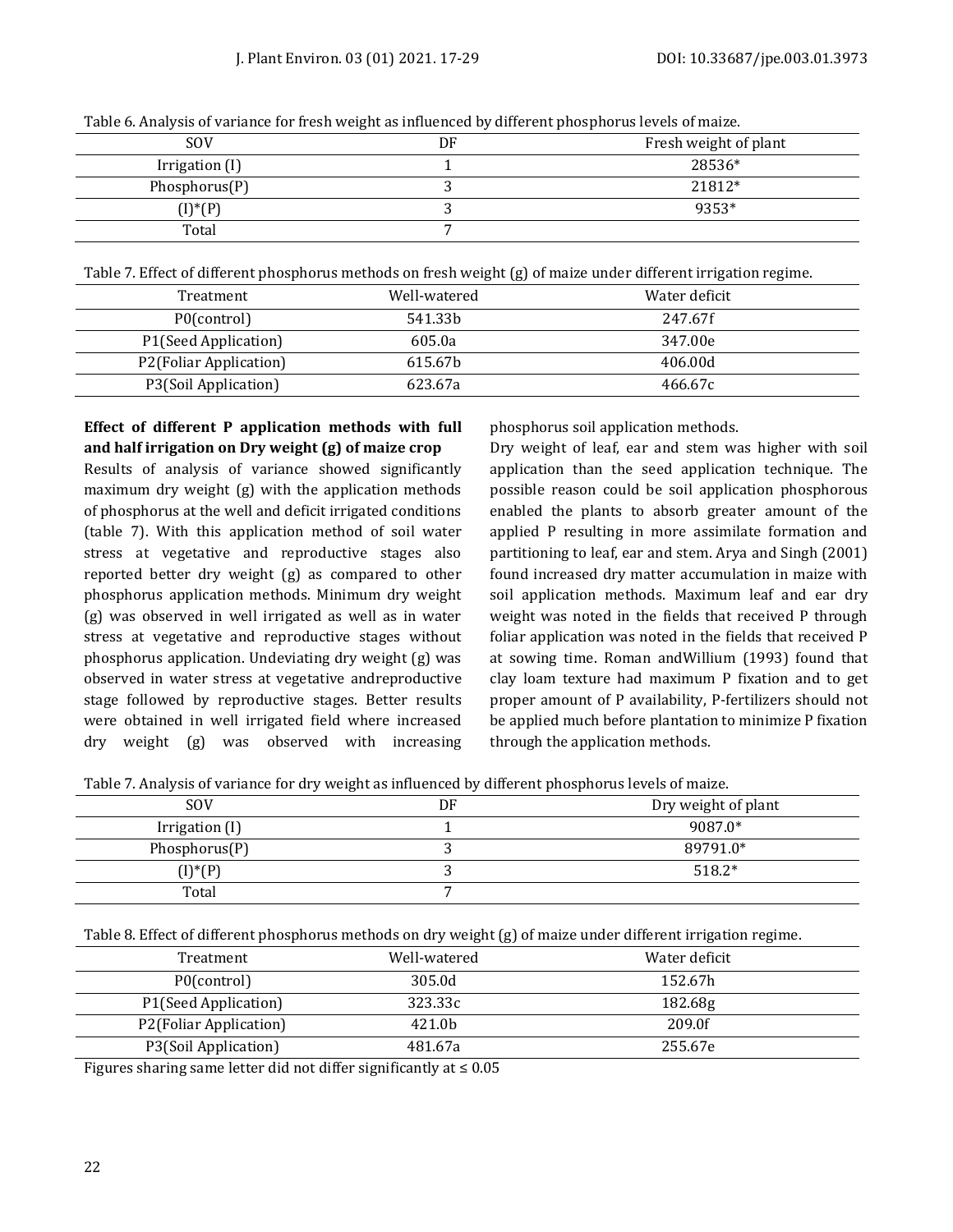|                | ັ  |                       |
|----------------|----|-----------------------|
| <b>SOV</b>     | DF | Fresh weight of plant |
| Irrigation (I) |    | 28536*                |
| Phosphorus(P)  |    | 21812*                |
| $(I)^*(P)$     |    | 9353*                 |
| Total          |    |                       |

Table 6. Analysis of variance for fresh weight as influenced by different phosphorus levels of maize.

Table 7. Effect of different phosphorus methods on fresh weight (g) of maize under different irrigation regime.

| Treatment              | Well-watered | Water deficit |
|------------------------|--------------|---------------|
| P0(control)            | 541.33b      | 247.67f       |
| P1(Seed Application)   | 605.0a       | 347.00e       |
| P2(Foliar Application) | 615.67b      | 406.00d       |
| P3(Soil Application)   | 623.67a      | 466.67c       |

# **Effect of different P application methods with full and half irrigation on Dry weight (g) of maize crop**

Results of analysis of variance showed significantly maximum dry weight (g) with the application methods of phosphorus at the well and deficit irrigated conditions (table 7). With this application method of soil water stress at vegetative and reproductive stages also reported better dry weight (g) as compared to other phosphorus application methods. Minimum dry weight (g) was observed in well irrigated as well as in water stress at vegetative and reproductive stages without phosphorus application. Undeviating dry weight (g) was observed in water stress at vegetative andreproductive stage followed by reproductive stages. Better results were obtained in well irrigated field where increased dry weight (g) was observed with increasing phosphorus soil application methods.

Dry weight of leaf, ear and stem was higher with soil application than the seed application technique. The possible reason could be soil application phosphorous enabled the plants to absorb greater amount of the applied P resulting in more assimilate formation and partitioning to leaf, ear and stem. Arya and Singh (2001) found increased dry matter accumulation in maize with soil application methods. Maximum leaf and ear dry weight was noted in the fields that received P through foliar application was noted in the fields that received P at sowing time. Roman andWillium (1993) found that clay loam texture had maximum P fixation and to get proper amount of P availability, P-fertilizers should not be applied much before plantation to minimize P fixation through the application methods.

Table 7. Analysis of variance for dry weight as influenced by different phosphorus levels of maize.

| <b>SOV</b>     | DF | Dry weight of plant |
|----------------|----|---------------------|
| Irrigation (I) |    | 9087.0*             |
| Phosphorus(P)  |    | 89791.0*            |
| $(I)^*(P)$     |    | $518.2*$            |
| Total          |    |                     |

Table 8. Effect of different phosphorus methods on dry weight (g) of maize under different irrigation regime.

| Treatment              | Well-watered | Water deficit |  |
|------------------------|--------------|---------------|--|
| P0(control)            | 305.0d       | 152.67h       |  |
| P1(Seed Application)   | 323.33c      | 182.68g       |  |
| P2(Foliar Application) | 421.0b       | 209.0f        |  |
| P3(Soil Application)   | 481.67a      | 255.67e       |  |

Figures sharing same letter did not differ significantly at ≤ 0.05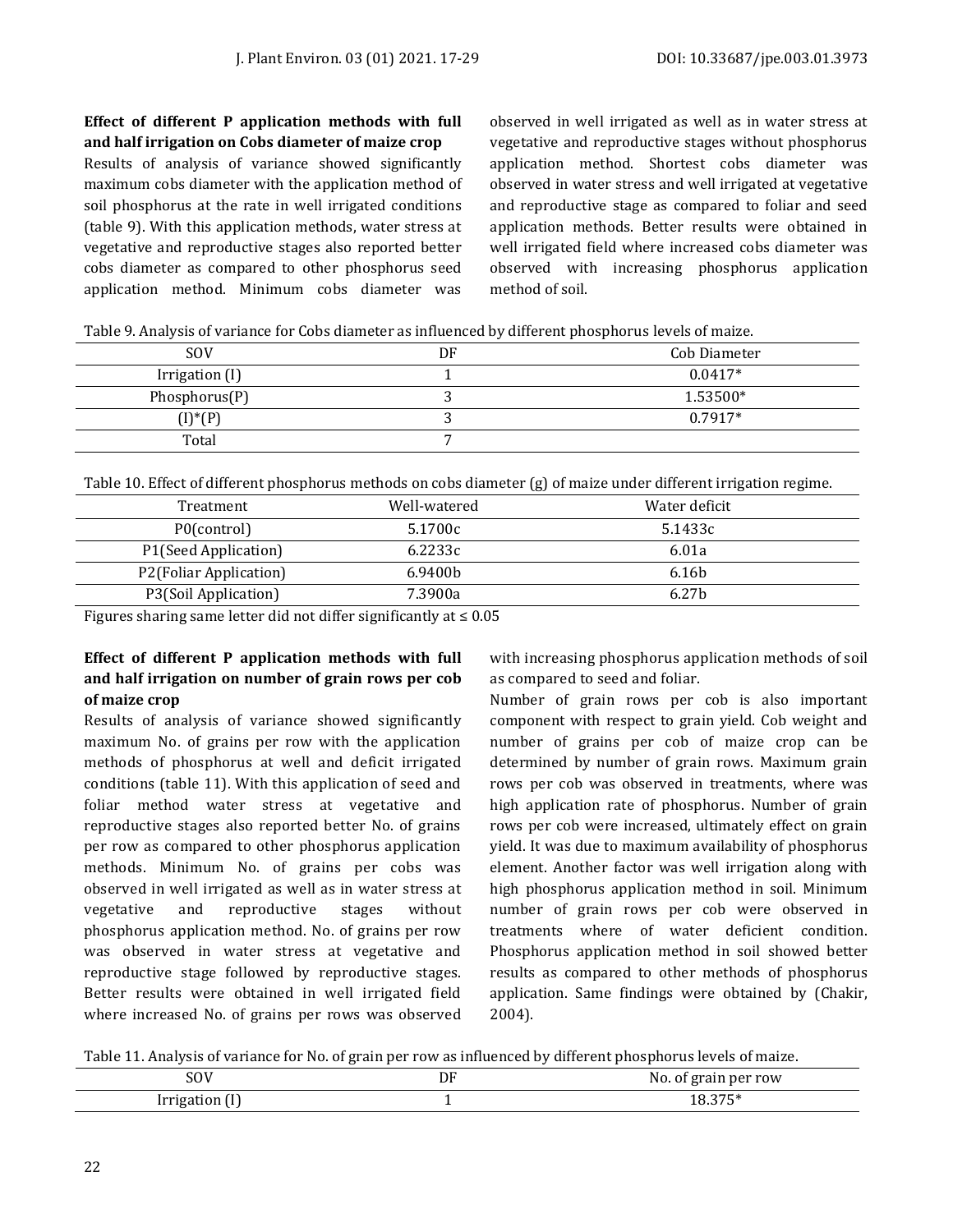# **Effect of different P application methods with full and half irrigation on Cobs diameter of maize crop**

Results of analysis of variance showed significantly maximum cobs diameter with the application method of soil phosphorus at the rate in well irrigated conditions (table 9). With this application methods, water stress at vegetative and reproductive stages also reported better cobs diameter as compared to other phosphorus seed application method. Minimum cobs diameter was

observed in well irrigated as well as in water stress at vegetative and reproductive stages without phosphorus application method. Shortest cobs diameter was observed in water stress and well irrigated at vegetative and reproductive stage as compared to foliar and seed application methods. Better results were obtained in well irrigated field where increased cobs diameter was observed with increasing phosphorus application method of soil.

Table 9. Analysis of variance for Cobs diameter as influenced by different phosphorus levels of maize.

| <b>SOV</b>     | DF | Cob Diameter |
|----------------|----|--------------|
| Irrigation (I) |    | $0.0417*$    |
| Phosphorus(P)  |    | 1.53500*     |
| $(I)^*(P)$     |    | $0.7917*$    |
| Total          |    |              |

Table 10. Effect of different phosphorus methods on cobs diameter (g) of maize under different irrigation regime.

| Treatment              | Well-watered                                                                                                                                                                                                                    | Water deficit     |
|------------------------|---------------------------------------------------------------------------------------------------------------------------------------------------------------------------------------------------------------------------------|-------------------|
| P0(control)            | 5.1700c                                                                                                                                                                                                                         | 5.1433c           |
| P1(Seed Application)   | 6.2233c                                                                                                                                                                                                                         | 6.01a             |
| P2(Foliar Application) | 6.9400 <sub>b</sub>                                                                                                                                                                                                             | 6.16b             |
| P3(Soil Application)   | 7.3900a                                                                                                                                                                                                                         | 6.27 <sub>b</sub> |
|                        | $\sim$ . The contract of the contract of the contract of the contract of the contract of the contract of the contract of the contract of the contract of the contract of the contract of the contract of the contract of the co |                   |

Figures sharing same letter did not differ significantly at ≤ 0.05

# **Effect of different P application methods with full and half irrigation on number of grain rows per cob of maize crop**

Results of analysis of variance showed significantly maximum No. of grains per row with the application methods of phosphorus at well and deficit irrigated conditions (table 11). With this application of seed and foliar method water stress at vegetative and reproductive stages also reported better No. of grains per row as compared to other phosphorus application methods. Minimum No. of grains per cobs was observed in well irrigated as well as in water stress at vegetative and reproductive stages without phosphorus application method. No. of grains per row was observed in water stress at vegetative and reproductive stage followed by reproductive stages. Better results were obtained in well irrigated field where increased No. of grains per rows was observed

with increasing phosphorus application methods of soil as compared to seed and foliar.

Number of grain rows per cob is also important component with respect to grain yield. Cob weight and number of grains per cob of maize crop can be determined by number of grain rows. Maximum grain rows per cob was observed in treatments, where was high application rate of phosphorus. Number of grain rows per cob were increased, ultimately effect on grain yield. It was due to maximum availability of phosphorus element. Another factor was well irrigation along with high phosphorus application method in soil. Minimum number of grain rows per cob were observed in treatments where of water deficient condition. Phosphorus application method in soil showed better results as compared to other methods of phosphorus application. Same findings were obtained by (Chakir, 2004).

Table 11. Analysis of variance for No. of grain per row as influenced by different phosphorus levels of maize.

| 0017<br>JU V<br>$ -$                 | υF | rain per row<br>NC<br>- - - - - - |
|--------------------------------------|----|-----------------------------------|
| MMY O<br>$\sim$ $\sim$ $\sim$ $\sim$ |    | .                                 |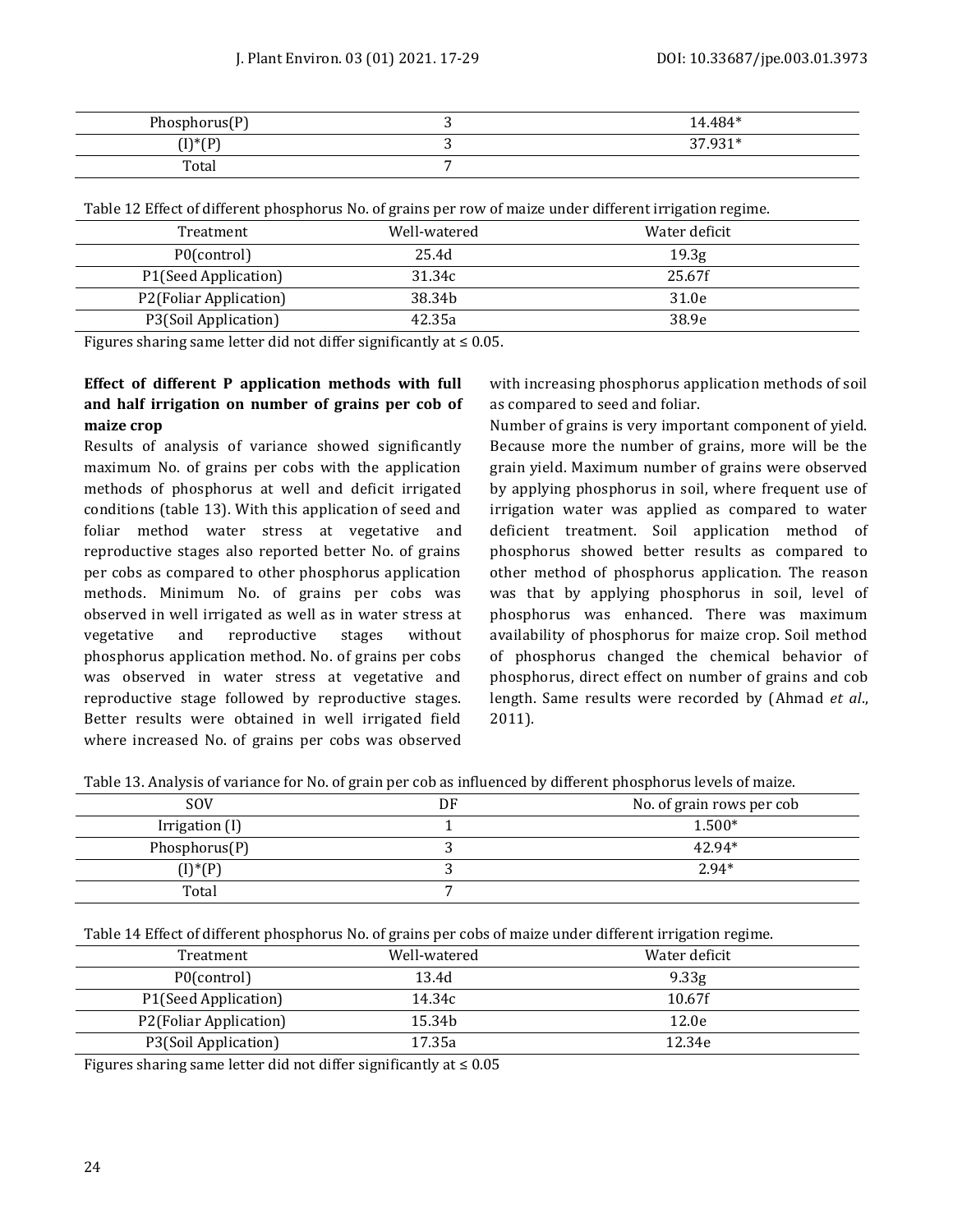| Phosphorus(P)           | 14.484* |
|-------------------------|---------|
| $(1)*(D)$<br>. .<br>,,, | 37.931* |
| Total                   |         |

Table 12 Effect of different phosphorus No. of grains per row of maize under different irrigation regime.

| Treatment              | Well-watered       | Water deficit     |  |
|------------------------|--------------------|-------------------|--|
| P0(control)            | 25.4d              | 19.3 <sub>g</sub> |  |
| P1(Seed Application)   | 31.34c             | 25.67f            |  |
| P2(Foliar Application) | 38.34 <sub>b</sub> | 31.0e             |  |
| P3(Soil Application)   | 42.35a             | 38.9e             |  |

Figures sharing same letter did not differ significantly at  $\leq 0.05$ .

# **Effect of different P application methods with full and half irrigation on number of grains per cob of maize crop**

Results of analysis of variance showed significantly maximum No. of grains per cobs with the application methods of phosphorus at well and deficit irrigated conditions (table 13). With this application of seed and foliar method water stress at vegetative and reproductive stages also reported better No. of grains per cobs as compared to other phosphorus application methods. Minimum No. of grains per cobs was observed in well irrigated as well as in water stress at vegetative and reproductive stages without phosphorus application method. No. of grains per cobs was observed in water stress at vegetative and reproductive stage followed by reproductive stages. Better results were obtained in well irrigated field where increased No. of grains per cobs was observed with increasing phosphorus application methods of soil as compared to seed and foliar.

Number of grains is very important component of yield. Because more the number of grains, more will be the grain yield. Maximum number of grains were observed by applying phosphorus in soil, where frequent use of irrigation water was applied as compared to water deficient treatment. Soil application method of phosphorus showed better results as compared to other method of phosphorus application. The reason was that by applying phosphorus in soil, level of phosphorus was enhanced. There was maximum availability of phosphorus for maize crop. Soil method of phosphorus changed the chemical behavior of phosphorus, direct effect on number of grains and cob length. Same results were recorded by (Ahmad *et al*., 2011).

| Table 13. Analysis of variance for No. of grain per cob as influenced by different phosphorus levels of maize. |  |  |
|----------------------------------------------------------------------------------------------------------------|--|--|
|                                                                                                                |  |  |

| <b>SOV</b>       | DF | No. of grain rows per cob |
|------------------|----|---------------------------|
| Irrigation (I)   |    | $1.500*$                  |
| Phosphorus $(P)$ |    | 42.94*                    |
| $(I)^*(P)$       |    | $2.94*$                   |
| Total            |    |                           |

Table 14 Effect of different phosphorus No. of grains per cobs of maize under different irrigation regime.

| Treatment              | Well-watered | Water deficit     |  |
|------------------------|--------------|-------------------|--|
| P0(control)            | 13.4d        | 9.33 <sub>g</sub> |  |
| P1(Seed Application)   | 14.34c       | 10.67f            |  |
| P2(Foliar Application) | 15.34b       | 12.0e             |  |
| P3(Soil Application)   | 17.35a       | 12.34e            |  |

Figures sharing same letter did not differ significantly at  $\leq 0.05$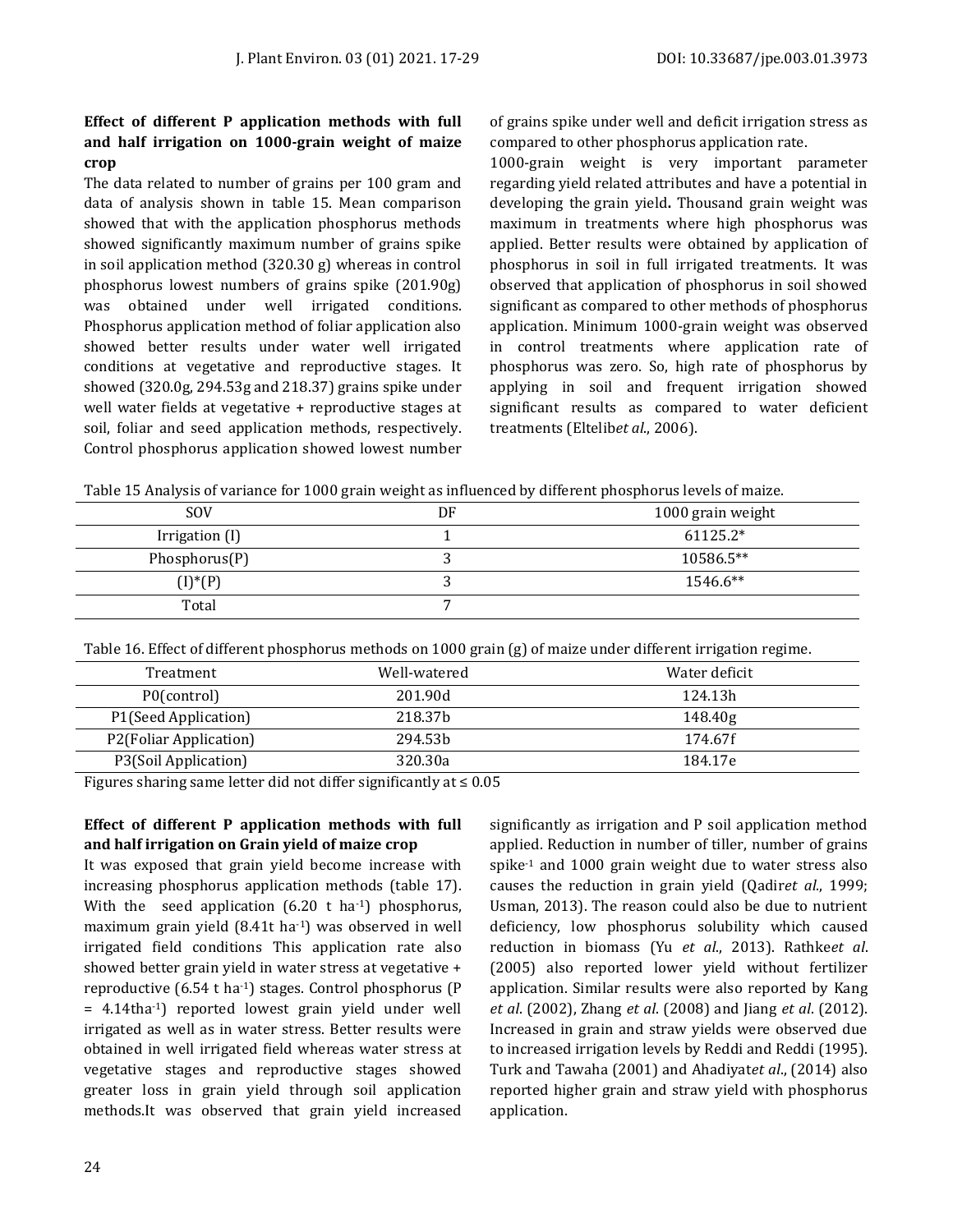# **Effect of different P application methods with full and half irrigation on 1000-grain weight of maize crop**

The data related to number of grains per 100 gram and data of analysis shown in table 15. Mean comparison showed that with the application phosphorus methods showed significantly maximum number of grains spike in soil application method (320.30 g) whereas in control phosphorus lowest numbers of grains spike (201.90g) was obtained under well irrigated conditions. Phosphorus application method of foliar application also showed better results under water well irrigated conditions at vegetative and reproductive stages. It showed (320.0g, 294.53g and 218.37) grains spike under well water fields at vegetative + reproductive stages at soil, foliar and seed application methods, respectively. Control phosphorus application showed lowest number of grains spike under well and deficit irrigation stress as compared to other phosphorus application rate.

1000-grain weight is very important parameter regarding yield related attributes and have a potential in developing the [grain yield](http://www.scialert.net/asci/result.php?searchin=Keywords&cat=&ascicat=ALL&Submit=Search&keyword=grain+yield)**.** Thousand grain weight was maximum in treatments where high phosphorus was applied. Better results were obtained by application of phosphorus in soil in full irrigated treatments. It was observed that application of phosphorus in soil showed significant as compared to other methods of phosphorus application. Minimum 1000-grain weight was observed in control treatments where application rate of phosphorus was zero. So, high rate of phosphorus by applying in soil and frequent irrigation showed significant results as compared to water deficient treatments (Eltelib*et al*., 2006).

Table 15 Analysis of variance for 1000 grain weight as influenced by different phosphorus levels of maize.

| <b>SOV</b>       | DF | 1000 grain weight |
|------------------|----|-------------------|
| Irrigation (I)   |    | $61125.2*$        |
| Phosphorus $(P)$ |    | 10586.5**         |
| $(I)^*(P)$       |    | 1546.6**          |
| Total            |    |                   |

Table 16. Effect of different phosphorus methods on 1000 grain (g) of maize under different irrigation regime.

| Treatment              | Well-watered        | Water deficit |
|------------------------|---------------------|---------------|
| P0(control)            | 201.90d             | 124.13h       |
| P1(Seed Application)   | 218.37 <sub>b</sub> | 148.40g       |
| P2(Foliar Application) | 294.53 <sub>b</sub> | 174.67f       |
| P3(Soil Application)   | 320.30a             | 184.17e       |

Figures sharing same letter did not differ significantly at  $\leq 0.05$ 

# **Effect of different P application methods with full and half irrigation on Grain yield of maize crop**

It was exposed that grain yield become increase with increasing phosphorus application methods (table 17). With the seed application  $(6.20 \text{ t} \text{ ha}^{-1})$  phosphorus, maximum grain yield (8.41t ha-1) was observed in well irrigated field conditions This application rate also showed better grain yield in water stress at vegetative + reproductive (6.54 t ha-1) stages. Control phosphorus (P = 4.14tha-1) reported lowest grain yield under well irrigated as well as in water stress. Better results were obtained in well irrigated field whereas water stress at vegetative stages and reproductive stages showed greater loss in grain yield through soil application methods.It was observed that grain yield increased significantly as irrigation and P soil application method applied. Reduction in number of tiller, number of grains spike-1 and 1000 grain weight due to water stress also causes the reduction in grain yield (Qadir*et al*., 1999; Usman, 2013). The reason could also be due to nutrient deficiency, low phosphorus solubility which caused reduction in biomass (Yu *et al*., 2013). Rathke*et al*. (2005) also reported lower yield without fertilizer application. Similar results were also reported by Kang *et al*. (2002), Zhang *et al*. (2008) and Jiang *et al*. (2012). Increased in grain and straw yields were observed due to increased irrigation levels by Reddi and Reddi (1995). Turk and Tawaha (2001) and Ahadiyat*et al*., (2014) also reported higher grain and straw yield with phosphorus application.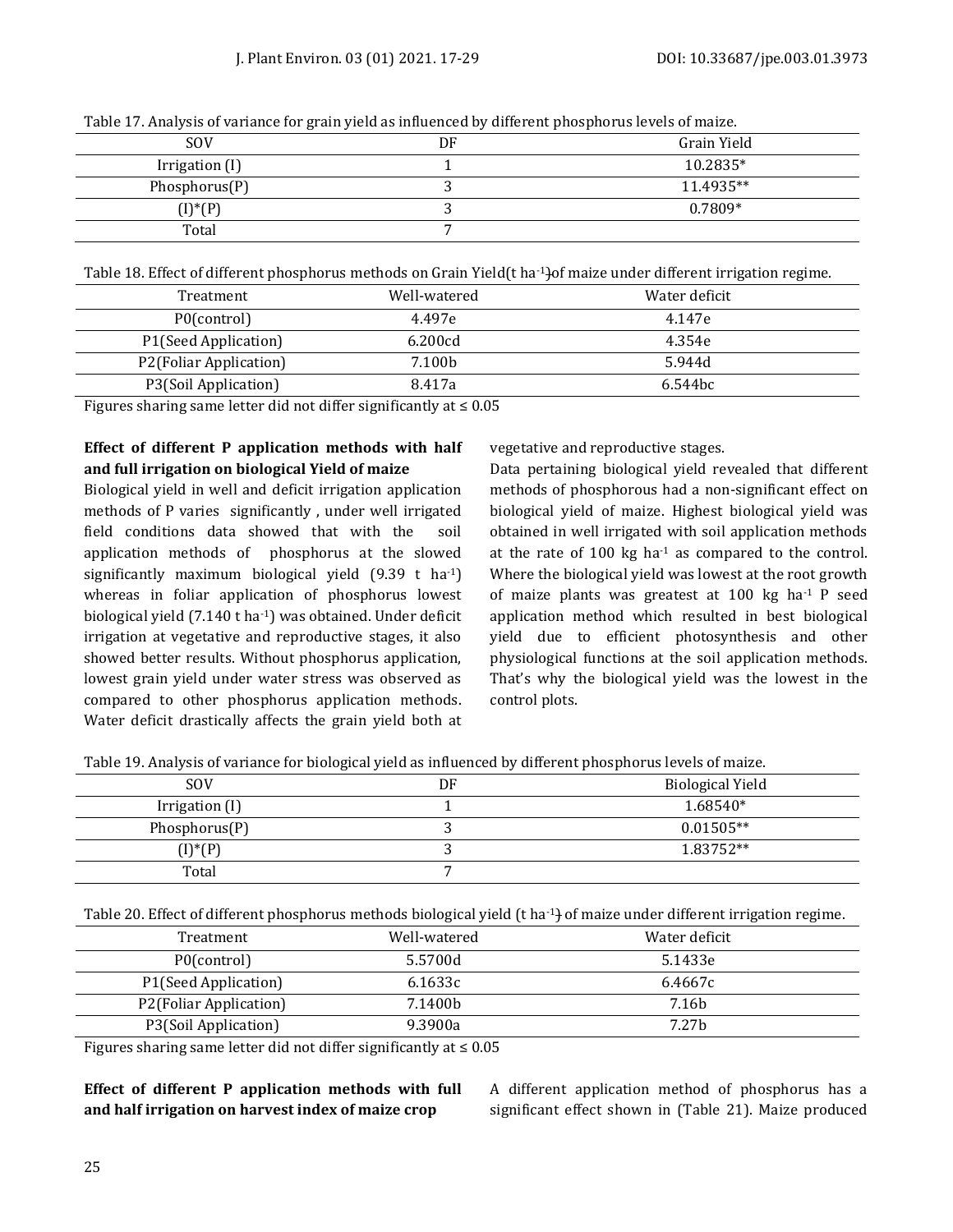|                | and the state of the state of the state of the state of the state of the state of the state of the state of th |             |
|----------------|----------------------------------------------------------------------------------------------------------------|-------------|
| <b>SOV</b>     | DF                                                                                                             | Grain Yield |
| Irrigation (I) |                                                                                                                | 10.2835*    |
| Phosphorus(P)  |                                                                                                                | 11.4935**   |
| $(I)^*(P)$     |                                                                                                                | $0.7809*$   |
| Total          |                                                                                                                |             |

Table 17. Analysis of variance for grain yield as influenced by different phosphorus levels of maize.

Table 18. Effect of different phosphorus methods on Grain Yield(t ha-1)of maize under different irrigation regime.

| Treatment              | Well-watered | Water deficit       |  |
|------------------------|--------------|---------------------|--|
| P0(control)            | 4.497e       | 4.147e              |  |
| P1(Seed Application)   | 6.200cd      | 4.354e              |  |
| P2(Foliar Application) | 7.100b       | 5.944d              |  |
| P3(Soil Application)   | 8.417a       | 6.544 <sub>bc</sub> |  |

Figures sharing same letter did not differ significantly at  $\leq 0.05$ 

# **Effect of different P application methods with half and full irrigation on biological Yield of maize**

Biological yield in well and deficit irrigation application methods of P varies significantly , under well irrigated field conditions data showed that with the soil application methods of phosphorus at the slowed significantly maximum biological yield  $(9.39 \text{ t} \text{ ha}^{-1})$ whereas in foliar application of phosphorus lowest biological yield (7.140 t ha-1) was obtained. Under deficit irrigation at vegetative and reproductive stages, it also showed better results. Without phosphorus application, lowest grain yield under water stress was observed as compared to other phosphorus application methods. Water deficit drastically affects the grain yield both at

vegetative and reproductive stages.

Data pertaining biological yield revealed that different methods of phosphorous had a non-significant effect on biological yield of maize. Highest biological yield was obtained in well irrigated with soil application methods at the rate of  $100 \text{ kg}$  ha<sup>-1</sup> as compared to the control. Where the biological yield was lowest at the root growth of maize plants was greatest at 100 kg ha-1 P seed application method which resulted in best biological yield due to efficient photosynthesis and other physiological functions at the soil application methods. That's why the biological yield was the lowest in the control plots.

| Table 19. Analysis of variance for biological yield as influenced by different phosphorus levels of maize. |  |  |
|------------------------------------------------------------------------------------------------------------|--|--|
|                                                                                                            |  |  |

| <b>SOV</b>               | DF | <b>Biological Yield</b> |
|--------------------------|----|-------------------------|
| Irrigation (I)           |    | 1.68540*                |
| Phosphorus(P)            |    | $0.01505**$             |
| $(I)$ <sup>*</sup> $(P)$ |    | 1.83752**               |
| Total                    |    |                         |

Table 20. Effect of different phosphorus methods biological yield (t ha<sup>-1</sup>) of maize under different irrigation regime.

| Treatment              | Well-watered | Water deficit     |  |
|------------------------|--------------|-------------------|--|
| P0(control)            | 5.5700d      | 5.1433e           |  |
| P1(Seed Application)   | 6.1633c      | 6.4667c           |  |
| P2(Foliar Application) | 7.1400b      | 7.16 <sub>b</sub> |  |
| P3(Soil Application)   | 9.3900a      | 7.27b             |  |

Figures sharing same letter did not differ significantly at  $\leq 0.05$ 

# **Effect of different P application methods with full and half irrigation on harvest index of maize crop**

A different application method of phosphorus has a significant effect shown in (Table 21). Maize produced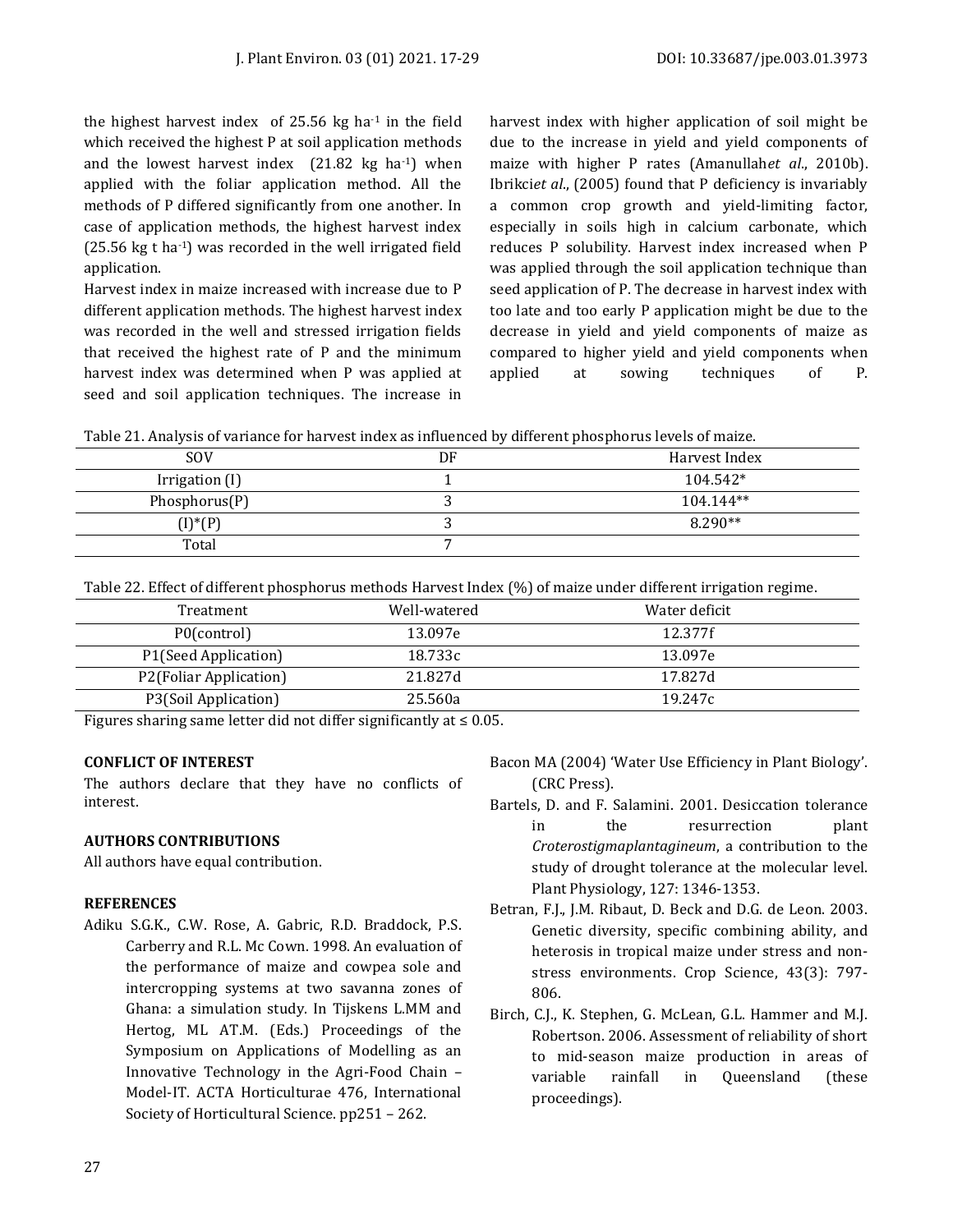the highest harvest index of 25.56 kg ha-1 in the field which received the highest P at soil application methods and the lowest harvest index  $(21.82 \text{ kg} \text{ ha-1})$  when applied with the foliar application method. All the methods of P differed significantly from one another. In case of application methods, the highest harvest index  $(25.56 \text{ kg t} \text{ ha}^{-1})$  was recorded in the well irrigated field application.

Harvest index in maize increased with increase due to P different application methods. The highest harvest index was recorded in the well and stressed irrigation fields that received the highest rate of P and the minimum harvest index was determined when P was applied at seed and soil application techniques. The increase in

harvest index with higher application of soil might be due to the increase in yield and yield components of maize with higher P rates (Amanullah*et al*., 2010b). Ibrikci*et al*., (2005) found that P deficiency is invariably a common crop growth and yield-limiting factor, especially in soils high in calcium carbonate, which reduces P solubility. Harvest index increased when P was applied through the soil application technique than seed application of P. The decrease in harvest index with too late and too early P application might be due to the decrease in yield and yield components of maize as compared to higher yield and yield components when applied at sowing techniques of P.

| Table 21. Analysis of variance for harvest index as influenced by different phosphorus levels of maize. |  |
|---------------------------------------------------------------------------------------------------------|--|
|                                                                                                         |  |

| <b>SOV</b>     | DF | Harvest Index |
|----------------|----|---------------|
| Irrigation (I) |    | $104.542*$    |
| Phosphorus(P)  |    | 104.144**     |
| $(I)^*(P)$     |    | $8.290**$     |
| Total          |    |               |

Table 22. Effect of different phosphorus methods Harvest Index (%) of maize under different irrigation regime.

| Treatment              | Well-watered | Water deficit |  |
|------------------------|--------------|---------------|--|
| P0(control)            | 13.097e      | 12.377f       |  |
| P1(Seed Application)   | 18.733c      | 13.097e       |  |
| P2(Foliar Application) | 21.827d      | 17.827d       |  |
| P3(Soil Application)   | 25.560a      | 19.247c       |  |
|                        |              |               |  |

Figures sharing same letter did not differ significantly at  $\leq 0.05$ .

# **CONFLICT OF INTEREST**

The authors declare that they have no conflicts of interest.

# **AUTHORS CONTRIBUTIONS**

All authors have equal contribution.

#### **REFERENCES**

Adiku S.G.K., C.W. Rose, A. Gabric, R.D. Braddock, P.S. Carberry and R.L. Mc Cown. 1998. An evaluation of the performance of maize and cowpea sole and intercropping systems at two savanna zones of Ghana: a simulation study. In Tijskens L.MM and Hertog, ML AT.M. (Eds.) Proceedings of the Symposium on Applications of Modelling as an Innovative Technology in the Agri-Food Chain – Model-IT. ACTA Horticulturae 476, International Society of Horticultural Science. pp251 – 262.

- Bacon MA (2004) 'Water Use Efficiency in Plant Biology'. (CRC Press).
- Bartels, D. and F. Salamini. 2001. Desiccation tolerance in the resurrection plant *Croterostigmaplantagineum*, a contribution to the study of drought tolerance at the molecular level. Plant Physiology, 127: 1346-1353.
- Betran, F.J., J.M. Ribaut, D. Beck and D.G. de Leon. 2003. Genetic diversity, specific combining ability, and heterosis in tropical maize under stress and nonstress environments. Crop Science, 43(3): 797- 806.
- Birch, C.J., K. Stephen, G. McLean, G.L. Hammer and M.J. Robertson. 2006. Assessment of reliability of short to mid-season maize production in areas of variable rainfall in Queensland (these proceedings).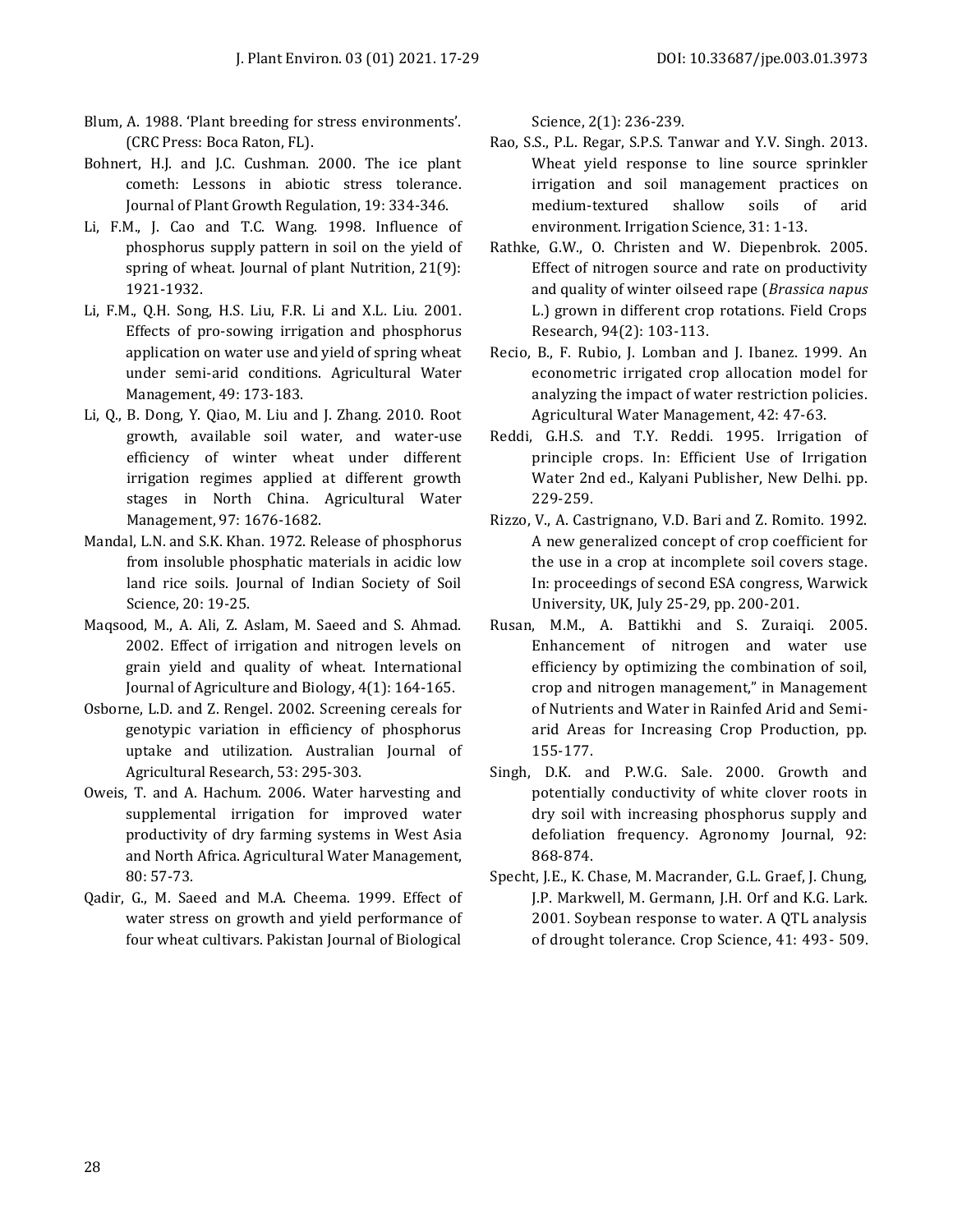- Blum, A. 1988. 'Plant breeding for stress environments'. (CRC Press: Boca Raton, FL).
- Bohnert, H.J. and J.C. Cushman. 2000. The ice plant cometh: Lessons in abiotic stress tolerance. Journal of Plant Growth Regulation, 19: 334-346.
- Li, F.M., J. Cao and T.C. Wang. 1998. Influence of phosphorus supply pattern in soil on the yield of spring of wheat. Journal of plant Nutrition, 21(9): 1921-1932.
- Li, F.M., Q.H. Song, H.S. Liu, F.R. Li and X.L. Liu. 2001. Effects of pro-sowing irrigation and phosphorus application on water use and yield of spring wheat under semi-arid conditions. Agricultural Water Management, 49: 173-183.
- Li, Q., B. Dong, Y. Qiao, M. Liu and J. Zhang. 2010. Root growth, available soil water, and water-use efficiency of winter wheat under different irrigation regimes applied at different growth stages in North China. Agricultural Water Management, 97: 1676-1682.
- Mandal, L.N. and S.K. Khan. 1972. Release of phosphorus from insoluble phosphatic materials in acidic low land rice soils. Journal of Indian Society of Soil Science, 20: 19-25.
- Maqsood, M., A. Ali, Z. Aslam, M. Saeed and S. Ahmad. 2002. Effect of irrigation and nitrogen levels on grain yield and quality of wheat. International Journal of Agriculture and Biology, 4(1): 164-165.
- Osborne, L.D. and Z. Rengel. 2002. Screening cereals for genotypic variation in efficiency of phosphorus uptake and utilization. Australian Journal of Agricultural Research, 53: 295-303.
- Oweis, T. and A. Hachum. 2006. Water harvesting and supplemental irrigation for improved water productivity of dry farming systems in West Asia and North Africa. Agricultural Water Management, 80: 57-73.
- Qadir, G., M. Saeed and M.A. Cheema. 1999. Effect of water stress on growth and yield performance of four wheat cultivars. Pakistan Journal of Biological

Science, 2(1): 236-239.

- Rao, S.S., P.L. Regar, S.P.S. Tanwar and Y.V. Singh. 2013. Wheat yield response to line source sprinkler irrigation and soil management practices on medium-textured shallow soils of arid environment. Irrigation Science, 31: 1-13.
- Rathke, G.W., O. Christen and W. Diepenbrok. 2005. Effect of nitrogen source and rate on productivity and quality of winter oilseed rape (*Brassica napus* L.) grown in different crop rotations. Field Crops Research, 94(2): 103-113.
- Recio, B., F. Rubio, J. Lomban and J. Ibanez. 1999. An econometric irrigated crop allocation model for analyzing the impact of water restriction policies. Agricultural Water Management, 42: 47-63.
- Reddi, G.H.S. and T.Y. Reddi. 1995. Irrigation of principle crops. In: Efficient Use of Irrigation Water 2nd ed., Kalyani Publisher, New Delhi. pp. 229-259.
- Rizzo, V., A. Castrignano, V.D. Bari and Z. Romito. 1992. A new generalized concept of crop coefficient for the use in a crop at incomplete soil covers stage. In: proceedings of second ESA congress, Warwick University, UK, July 25-29, pp. 200-201.
- Rusan, M.M., A. Battikhi and S. Zuraiqi. 2005. Enhancement of nitrogen and water use efficiency by optimizing the combination of soil, crop and nitrogen management," in Management of Nutrients and Water in Rainfed Arid and Semiarid Areas for Increasing Crop Production, pp. 155-177.
- Singh, D.K. and P.W.G. Sale. 2000. Growth and potentially conductivity of white clover roots in dry soil with increasing phosphorus supply and defoliation frequency. Agronomy Journal, 92: 868-874.
- Specht, J.E., K. Chase, M. Macrander, G.L. Graef, J. Chung, J.P. Markwell, M. Germann, J.H. Orf and K.G. Lark. 2001. Soybean response to water. A QTL analysis of drought tolerance. Crop Science, 41: 493- 509.